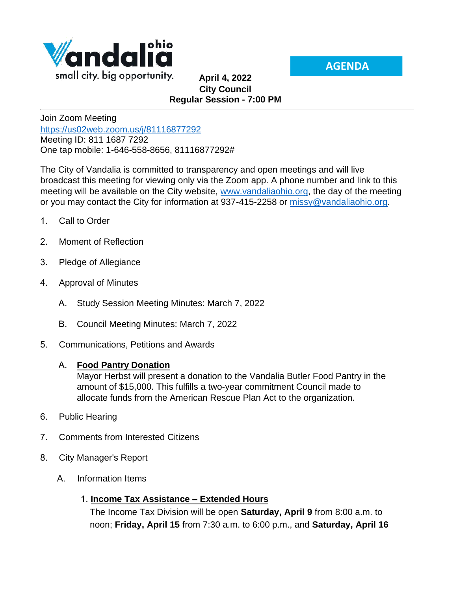

**AGENDA**

## **April 4, 2022 City Council Regular Session - 7:00 PM**

Join Zoom Meeting <https://us02web.zoom.us/j/81116877292> Meeting ID: 811 1687 7292 One tap mobile: 1-646-558-8656, 81116877292#

The City of Vandalia is committed to transparency and open meetings and will live broadcast this meeting for viewing only via the Zoom app. A phone number and link to this meeting will be available on the City website, [www.vandaliaohio.org,](http://www.vandaliaohio.org/) the day of the meeting or you may contact the City for information at 937-415-2258 or [missy@vandaliaohio.org.](mailto:missy@vandaliaohio.org)

- 1. Call to Order
- 2. Moment of Reflection
- 3. Pledge of Allegiance
- 4. Approval of Minutes
	- A. Study Session Meeting Minutes: March 7, 2022
	- B. Council Meeting Minutes: March 7, 2022
- 5. Communications, Petitions and Awards

## A. **Food Pantry Donation**

Mayor Herbst will present a donation to the Vandalia Butler Food Pantry in the amount of \$15,000. This fulfills a two-year commitment Council made to allocate funds from the American Rescue Plan Act to the organization.

- 6. Public Hearing
- 7. Comments from Interested Citizens
- 8. City Manager's Report
	- A. Information Items

## 1. **Income Tax Assistance – Extended Hours**

The Income Tax Division will be open **Saturday, April 9** from 8:00 a.m. to noon; **Friday, April 15** from 7:30 a.m. to 6:00 p.m., and **Saturday, April 16**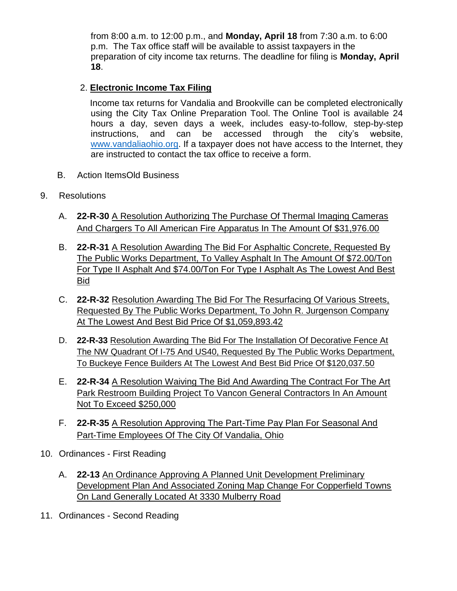from 8:00 a.m. to 12:00 p.m., and **Monday, April 18** from 7:30 a.m. to 6:00 p.m. The Tax office staff will be available to assist taxpayers in the preparation of city income tax returns. The deadline for filing is **Monday, April 18**.

## 2. **Electronic Income Tax Filing**

Income tax returns for Vandalia and Brookville can be completed electronically using the City Tax Online Preparation Tool. The Online Tool is available 24 hours a day, seven days a week, includes easy-to-follow, step-by-step instructions, and can be accessed through the city's website, [www.vandaliaohio.org.](http://www.vandaliaohio.org/) If a taxpayer does not have access to the Internet, they are instructed to contact the tax office to receive a form.

- B. Action ItemsOld Business
- 9. Resolutions
	- A. **22-R-30** A Resolution Authorizing The Purchase Of Thermal Imaging Cameras And Chargers To All American Fire Apparatus In The Amount Of \$31,976.00
	- B. **22-R-31** A Resolution Awarding The Bid For Asphaltic Concrete, Requested By The Public Works Department, To Valley Asphalt In The Amount Of \$72.00/Ton For Type II Asphalt And \$74.00/Ton For Type I Asphalt As The Lowest And Best Bid
	- C. **22-R-32** Resolution Awarding The Bid For The Resurfacing Of Various Streets, Requested By The Public Works Department, To John R. Jurgenson Company At The Lowest And Best Bid Price Of \$1,059,893.42
	- D. **22-R-33** Resolution Awarding The Bid For The Installation Of Decorative Fence At The NW Quadrant Of I-75 And US40, Requested By The Public Works Department, To Buckeye Fence Builders At The Lowest And Best Bid Price Of \$120,037.50
	- E. **22-R-34** A Resolution Waiving The Bid And Awarding The Contract For The Art Park Restroom Building Project To Vancon General Contractors In An Amount Not To Exceed \$250,000
	- F. **22-R-35** A Resolution Approving The Part-Time Pay Plan For Seasonal And Part-Time Employees Of The City Of Vandalia, Ohio
- 10. Ordinances First Reading
	- A. **22-13** An Ordinance Approving A Planned Unit Development Preliminary Development Plan And Associated Zoning Map Change For Copperfield Towns On Land Generally Located At 3330 Mulberry Road
- 11. Ordinances Second Reading